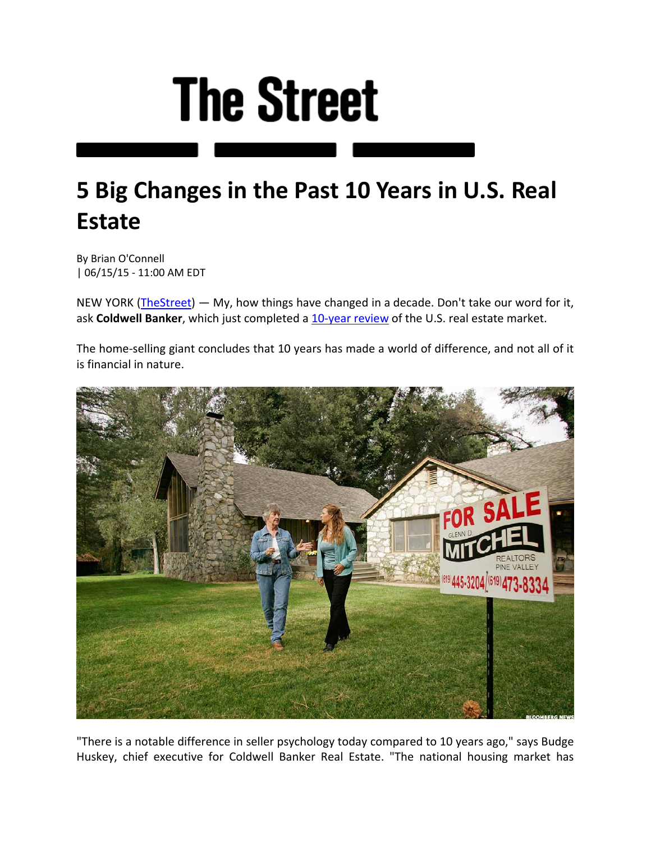## **The Street**

## **5 Big Changes in the Past 10 Years in U.S. Real Estate**

By Brian O'Connell | 06/15/15 ‐ 11:00 AM EDT

NEW YORK (TheStreet) — My, how things have changed in a decade. Don't take our word for it, ask **Coldwell Banker**, which just completed a 10‐year review of the U.S. real estate market.

The home-selling giant concludes that 10 years has made a world of difference, and not all of it is financial in nature.



"There is a notable difference in seller psychology today compared to 10 years ago," says Budge Huskey, chief executive for Coldwell Banker Real Estate. "The national housing market has